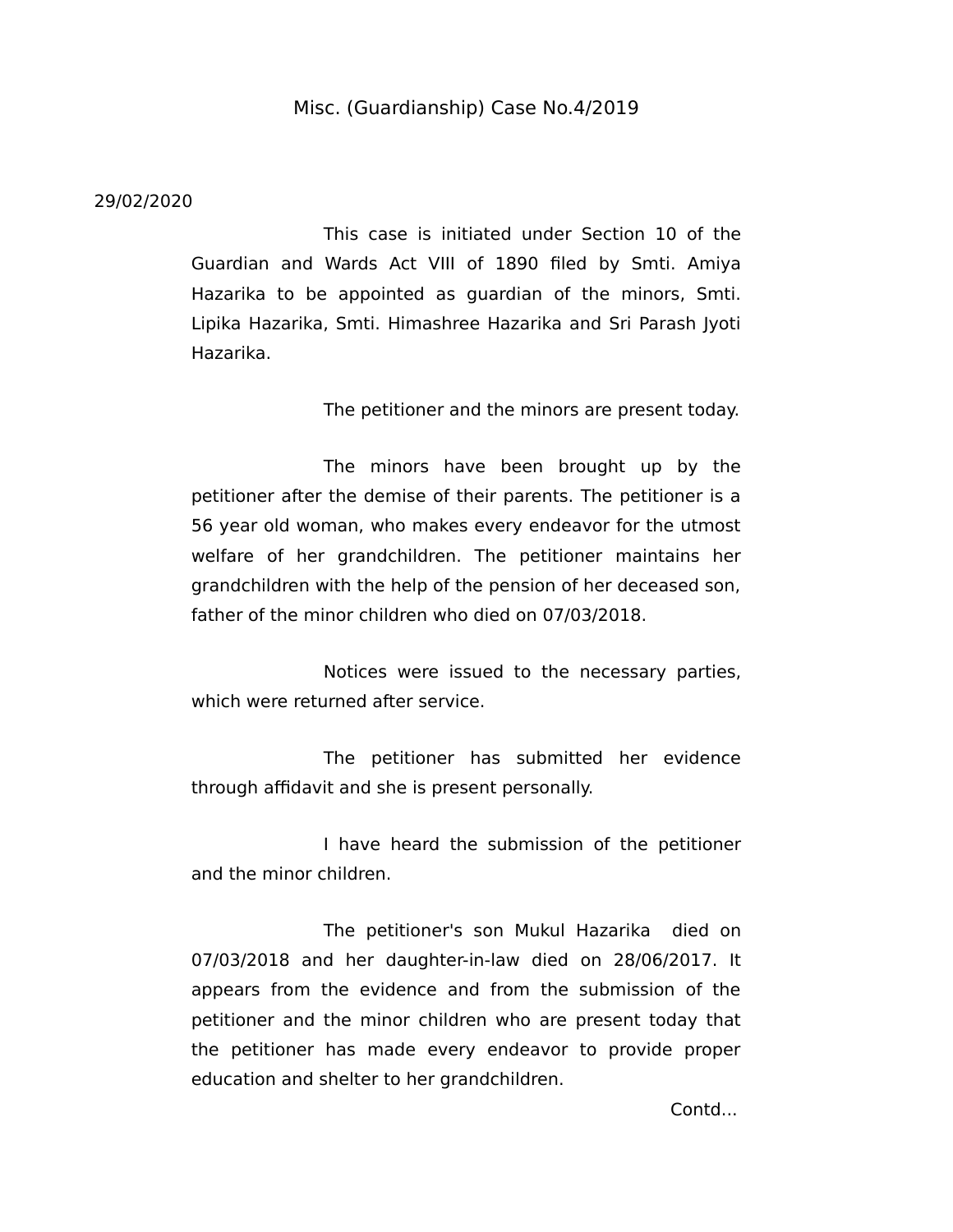## Misc. (Guardianship) Case No.4/2019

## 29/02/2020

This case is initiated under Section 10 of the Guardian and Wards Act VIII of 1890 filed by Smti. Amiya Hazarika to be appointed as guardian of the minors, Smti. Lipika Hazarika, Smti. Himashree Hazarika and Sri Parash Jyoti Hazarika.

The petitioner and the minors are present today.

The minors have been brought up by the petitioner after the demise of their parents. The petitioner is a 56 year old woman, who makes every endeavor for the utmost welfare of her grandchildren. The petitioner maintains her grandchildren with the help of the pension of her deceased son, father of the minor children who died on 07/03/2018.

Notices were issued to the necessary parties, which were returned after service.

The petitioner has submitted her evidence through affidavit and she is present personally.

I have heard the submission of the petitioner and the minor children.

The petitioner's son Mukul Hazarika died on 07/03/2018 and her daughter-in-law died on 28/06/2017. It appears from the evidence and from the submission of the petitioner and the minor children who are present today that the petitioner has made every endeavor to provide proper education and shelter to her grandchildren.

Contd...